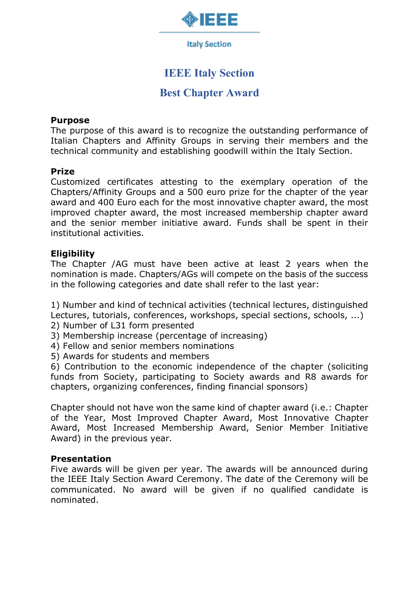

**Italy Section** 

# **IEEE Italy Section**

## **Best Chapter Award**

#### **Purpose**

The purpose of this award is to recognize the outstanding performance of Italian Chapters and Affinity Groups in serving their members and the technical community and establishing goodwill within the Italy Section.

### **Prize**

Customized certificates attesting to the exemplary operation of the Chapters/Affinity Groups and a 500 euro prize for the chapter of the year award and 400 Euro each for the most innovative chapter award, the most improved chapter award, the most increased membership chapter award and the senior member initiative award. Funds shall be spent in their institutional activities.

### **Eligibility**

The Chapter /AG must have been active at least 2 years when the nomination is made. Chapters/AGs will compete on the basis of the success in the following categories and date shall refer to the last year:

1) Number and kind of technical activities (technical lectures, distinguished Lectures, tutorials, conferences, workshops, special sections, schools, ...)

- 2) Number of L31 form presented
- 3) Membership increase (percentage of increasing)
- 4) Fellow and senior members nominations
- 5) Awards for students and members

6) Contribution to the economic independence of the chapter (soliciting funds from Society, participating to Society awards and R8 awards for chapters, organizing conferences, finding financial sponsors)

Chapter should not have won the same kind of chapter award (i.e.: Chapter of the Year, Most Improved Chapter Award, Most Innovative Chapter Award, Most Increased Membership Award, Senior Member Initiative Award) in the previous year.

### **Presentation**

Five awards will be given per year. The awards will be announced during the IEEE Italy Section Award Ceremony. The date of the Ceremony will be communicated. No award will be given if no qualified candidate is nominated.